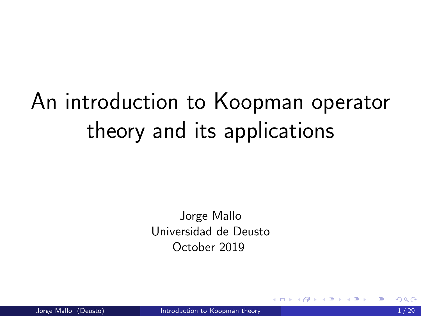# <span id="page-0-0"></span>An introduction to Koopman operator theory and its applications

Jorge Mallo Universidad de Deusto October 2019

4 0 8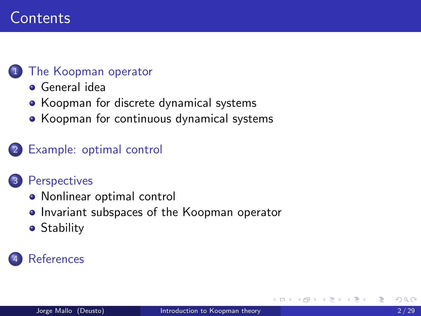## **Contents**

### [The Koopman operator](#page-2-0)

- [General idea](#page-3-0)
- [Koopman for discrete dynamical systems](#page-4-0)
- [Koopman for continuous dynamical systems](#page-6-0)

#### [Example: optimal control](#page-10-0)

#### **[Perspectives](#page-16-0)**

- [Nonlinear optimal control](#page-17-0)
- **[Invariant subspaces of the Koopman operator](#page-20-0)**
- **•** [Stability](#page-24-0)

## **[References](#page-27-0)**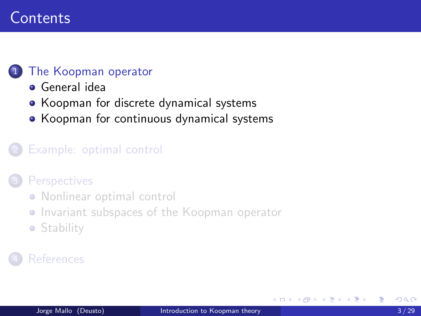## <span id="page-2-0"></span>**Contents**

### [The Koopman operator](#page-2-0)

- [General idea](#page-3-0)
- [Koopman for discrete dynamical systems](#page-4-0)
- [Koopman for continuous dynamical systems](#page-6-0)

#### [Example: optimal control](#page-10-0)

#### **[Perspectives](#page-16-0)**

- [Nonlinear optimal control](#page-17-0)
- **[Invariant subspaces of the Koopman operator](#page-20-0)**
- **[Stability](#page-24-0)**

## **[References](#page-27-0)**

4 0 8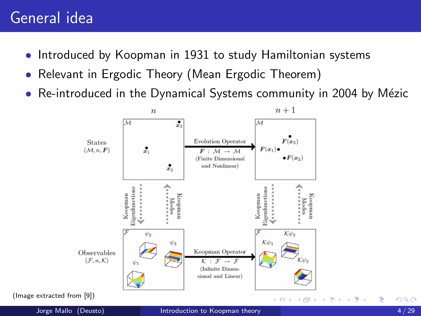## <span id="page-3-0"></span>General idea

- Introduced by Koopman in 1931 to study Hamiltonian systems
- Relevant in Ergodic Theory (Mean Ergodic Theorem)
- Re-introduced in the Dynamical Systems community in 2004 by Mézic



(Image extracted from [\[9\]](#page-32-1))

4 D F

∍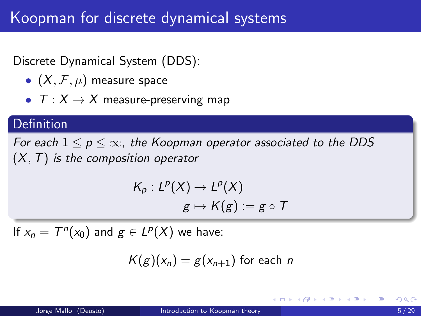## <span id="page-4-0"></span>Koopman for discrete dynamical systems

## Discrete Dynamical System (DDS):

- $(X, \mathcal{F}, \mu)$  measure space
- $T: X \rightarrow X$  measure-preserving map

### **Definition**

For each  $1 \leq p \leq \infty$ , the Koopman operator associated to the DDS  $(X, T)$  is the composition operator

$$
\begin{aligned} \mathcal{K}_p : L^p(X) &\to L^p(X) \\ g &\mapsto \mathcal{K}(g) := g \circ \mathcal{T} \end{aligned}
$$

If  $x_n = T^n(x_0)$  and  $g \in L^p(X)$  we have:

$$
K(g)(x_n) = g(x_{n+1})
$$
 for each *n*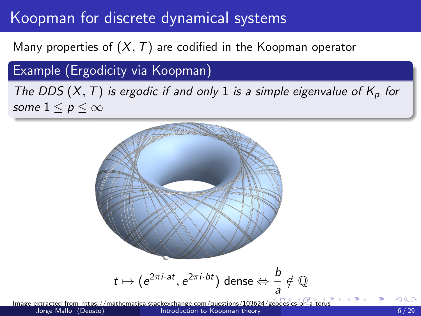## <span id="page-5-0"></span>Koopman for discrete dynamical systems

Many properties of  $(X, T)$  are codified in the Koopman operator

Example (Ergodicity via Koopman)

The DDS  $(X, T)$  is ergodic if and only 1 is a simple eigenvalue of  $K_p$  for some  $1 \leq p \leq \infty$ 



Image extracted from https://mathematica.stackexchange.com/questions/103624/[geo](#page-4-0)d[esic](#page-6-0)[s-o](#page-4-0)[n-a](#page-5-0)[-to](#page-6-0)[ru](#page-3-0)[s](#page-4-0) [Introduction to Koopman theory](#page-0-0)  $6/29$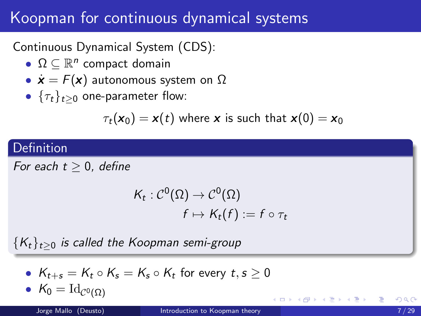## <span id="page-6-0"></span>Koopman for continuous dynamical systems

Continuous Dynamical System (CDS):

- $\Omega \subseteq \mathbb{R}^n$  compact domain
- $\dot{\mathbf{x}} = F(\mathbf{x})$  autonomous system on  $\Omega$
- $\{\tau_t\}_{t>0}$  one-parameter flow:

$$
\tau_t(\mathbf{x}_0) = \mathbf{x}(t)
$$
 where **x** is such that  $\mathbf{x}(0) = \mathbf{x}_0$ 

## Definition

For each  $t \geq 0$ , define

$$
K_t: \mathcal{C}^0(\Omega) \to \mathcal{C}^0(\Omega)
$$
  

$$
f \mapsto K_t(f) := f \circ \tau_t
$$

 ${K_t}_{t\geq0}$  is called the Koopman semi-group

•  $K_{t+s} = K_t \circ K_s = K_s \circ K_t$  for every  $t,s \geq 0$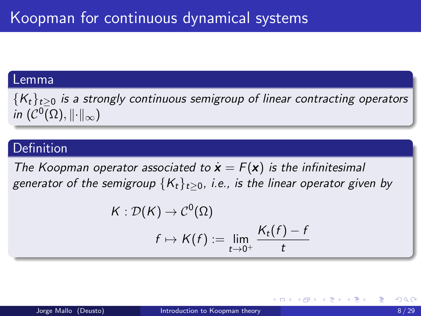#### Lemma

 ${K_t}_{t\geq0}$  is a strongly continuous semigroup of linear contracting operators in  $(\mathcal{C}^0(\Omega),\lVert\cdot\rVert_\infty)$ 

#### Definition

The Koopman operator associated to  $\mathbf{x} = F(\mathbf{x})$  is the infinitesimal generator of the semigroup  ${K_t}_{t>0}$ , i.e., is the linear operator given by

$$
K: \mathcal{D}(K) \to \mathcal{C}^0(\Omega)
$$
  

$$
f \mapsto K(f) := \lim_{t \to 0^+} \frac{K_t(f) - f}{t}
$$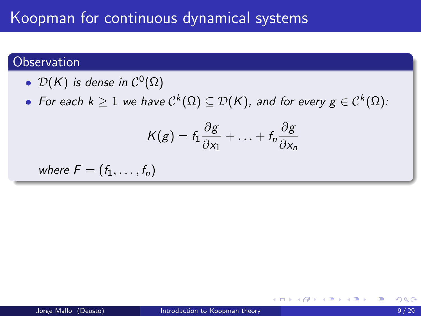## Koopman for continuous dynamical systems

### **Observation**

- $\mathcal{D}(\mathsf{K})$  is dense in  $\mathcal{C}^0(\Omega)$
- $\bullet\,$  For each  $k\geq 1$  we have  $\mathcal{C}^k(\Omega)\subseteq \mathcal{D}(\mathcal{K})$ , and for every  $g\in \mathcal{C}^k(\Omega)$ :

$$
K(g) = f_1 \frac{\partial g}{\partial x_1} + \ldots + f_n \frac{\partial g}{\partial x_n}
$$

where 
$$
F = (f_1, \ldots, f_n)
$$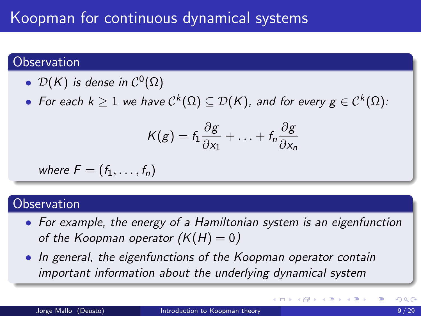#### **Observation**

- $\mathcal{D}(\mathsf{K})$  is dense in  $\mathcal{C}^0(\Omega)$
- $\bullet\,$  For each  $k\geq 1$  we have  $\mathcal{C}^k(\Omega)\subseteq \mathcal{D}(\mathcal{K})$ , and for every  $g\in \mathcal{C}^k(\Omega)$ :

$$
K(g) = f_1 \frac{\partial g}{\partial x_1} + \ldots + f_n \frac{\partial g}{\partial x_n}
$$

where 
$$
F = (f_1, \ldots, f_n)
$$

#### **Observation**

- For example, the energy of a Hamiltonian system is an eigenfunction of the Koopman operator  $(K(H) = 0)$
- In general, the eigenfunctions of the Koopman operator contain important information about the underlying dynamical system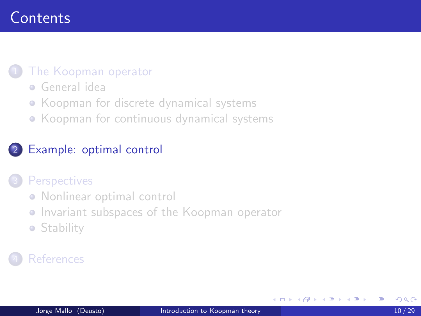## <span id="page-10-0"></span>**Contents**

#### [The Koopman operator](#page-2-0)

- [General idea](#page-3-0)
- [Koopman for discrete dynamical systems](#page-4-0)
- [Koopman for continuous dynamical systems](#page-6-0)

### [Example: optimal control](#page-10-0)

#### **[Perspectives](#page-16-0)**

- [Nonlinear optimal control](#page-17-0)
- **[Invariant subspaces of the Koopman operator](#page-20-0)**
- **[Stability](#page-24-0)**

## **[References](#page-27-0)**

4 0 8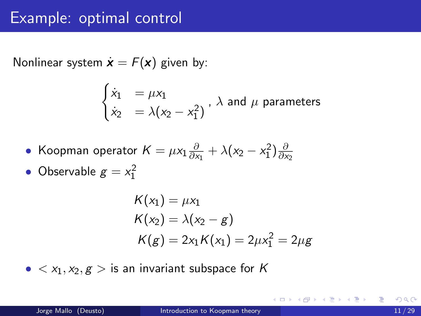Nonlinear system  $\dot{\mathbf{x}} = F(\mathbf{x})$  given by:

$$
\begin{cases}\n\dot{x}_1 &= \mu x_1 \\
\dot{x}_2 &= \lambda (x_2 - x_1^2)\n\end{cases}
$$
,  $\lambda$  and  $\mu$  parameters

• Koopman operator 
$$
K = \mu x_1 \frac{\partial}{\partial x_1} + \lambda (x_2 - x_1^2) \frac{\partial}{\partial x_2}
$$

• Observable  $g = x_1^2$ 

$$
K(x_1) = \mu x_1
$$
  
\n
$$
K(x_2) = \lambda (x_2 - g)
$$
  
\n
$$
K(g) = 2x_1 K(x_1) = 2\mu x_1^2 = 2\mu g
$$

•  $\langle x_1, x_2, g \rangle$  is an invariant subspace for K

造

**≮ロト ⊀母 ▶ ≮ ヨ ▶ ⊀ ヨ ▶**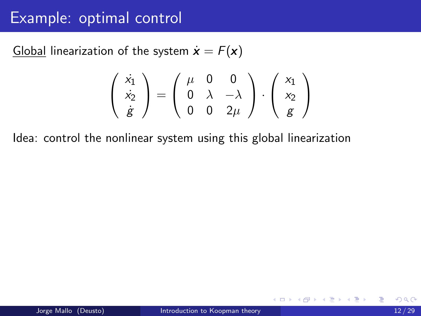Global linearization of the system  $\dot{\mathbf{x}} = F(\mathbf{x})$ 

$$
\left(\begin{array}{c} \dot{x_1} \\ \dot{x_2} \\ \dot{g} \end{array}\right) = \left(\begin{array}{ccc} \mu & 0 & 0 \\ 0 & \lambda & -\lambda \\ 0 & 0 & 2\mu \end{array}\right) \cdot \left(\begin{array}{c} x_1 \\ x_2 \\ g \end{array}\right)
$$

Idea: control the nonlinear system using this global linearization

4 0 F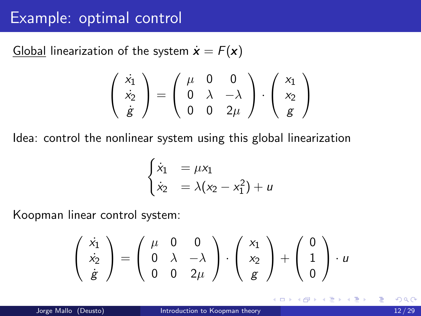Global linearization of the system  $\dot{\mathbf{x}} = F(\mathbf{x})$ 

$$
\left(\begin{array}{c} \dot{x_1} \\ \dot{x_2} \\ \dot{g} \end{array}\right) = \left(\begin{array}{ccc} \mu & 0 & 0 \\ 0 & \lambda & -\lambda \\ 0 & 0 & 2\mu \end{array}\right) \cdot \left(\begin{array}{c} x_1 \\ x_2 \\ g \end{array}\right)
$$

Idea: control the nonlinear system using this global linearization

$$
\begin{cases}\n\dot{x}_1 &= \mu x_1 \\
\dot{x}_2 &= \lambda (x_2 - x_1^2) + u\n\end{cases}
$$

Koopman linear control system:

$$
\left(\begin{array}{c} \dot{x}_1 \\ \dot{x}_2 \\ \dot{g} \end{array}\right) = \left(\begin{array}{ccc} \mu & 0 & 0 \\ 0 & \lambda & -\lambda \\ 0 & 0 & 2\mu \end{array}\right) \cdot \left(\begin{array}{c} x_1 \\ x_2 \\ g \end{array}\right) + \left(\begin{array}{c} 0 \\ 1 \\ 0 \end{array}\right) \cdot u
$$

4 D F

∢ 何 ▶ -∢ ヨ ▶ -∢ ヨ ▶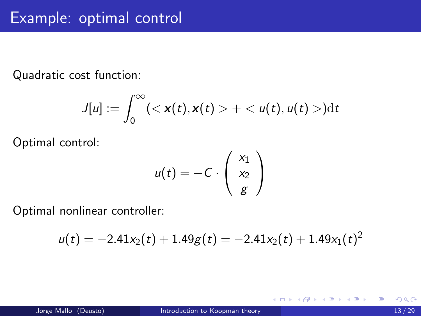Quadratic cost function:

$$
J[u] := \int_0^\infty \left( \langle \mathbf{x}(t), \mathbf{x}(t) \rangle + \langle u(t), u(t) \rangle \right) dt
$$

Optimal control:

$$
u(t) = -C \cdot \left(\begin{array}{c} x_1 \\ x_2 \\ g \end{array}\right)
$$

Optimal nonlinear controller:

$$
u(t) = -2.41x_2(t) + 1.49g(t) = -2.41x_2(t) + 1.49x_1(t)^2
$$

重

イロト イ押ト イヨト イヨト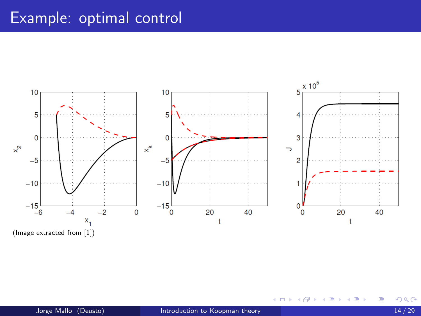<span id="page-15-0"></span>

(Image extracted from [\[1\]](#page-28-0))

4日下

É

∍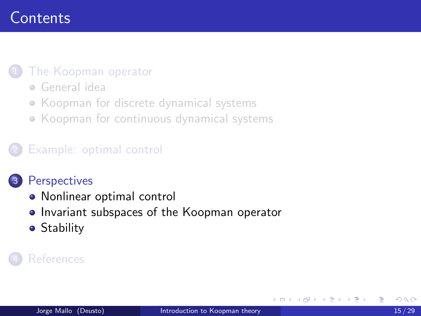## <span id="page-16-0"></span>**Contents**

#### [The Koopman operator](#page-2-0)

- [General idea](#page-3-0)
- [Koopman for discrete dynamical systems](#page-4-0)
- [Koopman for continuous dynamical systems](#page-6-0)

#### [Example: optimal control](#page-10-0)

#### **[Perspectives](#page-16-0)**

- [Nonlinear optimal control](#page-17-0)
- **[Invariant subspaces of the Koopman operator](#page-20-0)**
- **•** [Stability](#page-24-0)

#### **[References](#page-27-0)**

4 0 8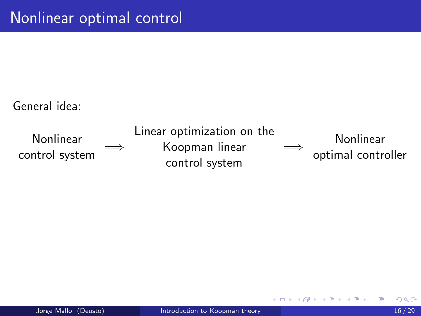<span id="page-17-0"></span>General idea:



4 D F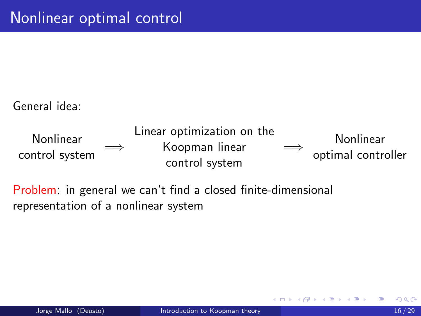General idea:



Problem: in general we can't find a closed finite-dimensional representation of a nonlinear system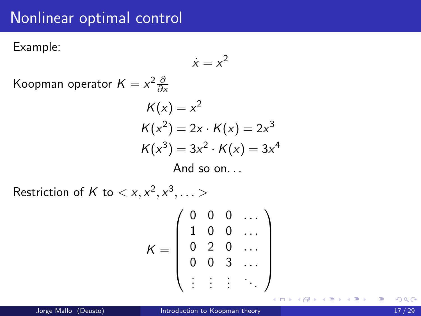## <span id="page-19-0"></span>Nonlinear optimal control

Example:

$$
\dot{x}=x^2
$$

Koopman operator  $K = x^2 \frac{\partial}{\partial x}$ 

$$
K(x) = x2
$$
  
\n
$$
K(x2) = 2x \cdot K(x) = 2x3
$$
  
\n
$$
K(x3) = 3x2 \cdot K(x) = 3x4
$$
  
\nAnd so on...

Restriction of K to  $\langle x, x^2, x^3, \dots \rangle$ 

$$
K = \left(\begin{array}{cccc} 0 & 0 & 0 & \dots \\ 1 & 0 & 0 & \dots \\ 0 & 2 & 0 & \dots \\ 0 & 0 & 3 & \dots \\ \vdots & \vdots & \vdots & \ddots \end{array}\right)
$$

э

イロト イ母 トイヨ トイヨト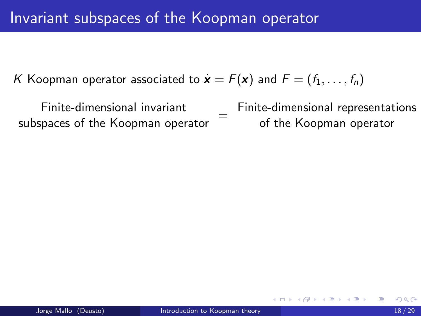<span id="page-20-0"></span>K Koopman operator associated to  $\dot{\mathbf{x}} = F(\mathbf{x})$  and  $F = (f_1, \ldots, f_n)$ 

Finite-dimensional invariant subspaces of the Koopman operator  $=$ 

Finite-dimensional representations of the Koopman operator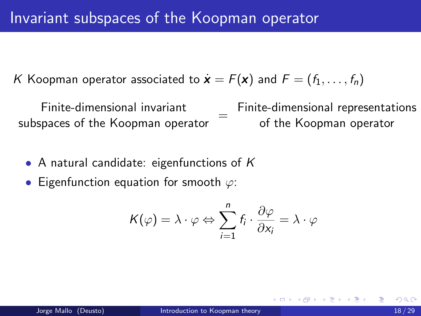<span id="page-21-0"></span>K Koopman operator associated to  $\dot{\mathbf{x}} = F(\mathbf{x})$  and  $F = (f_1, \ldots, f_n)$ 

Finite-dimensional invariant subspaces of the Koopman operator  $=$ Finite-dimensional representations of the Koopman operator

- A natural candidate: eigenfunctions of  $K$
- Eigenfunction equation for smooth  $\varphi$ :

$$
K(\varphi) = \lambda \cdot \varphi \Leftrightarrow \sum_{i=1}^{n} f_i \cdot \frac{\partial \varphi}{\partial x_i} = \lambda \cdot \varphi
$$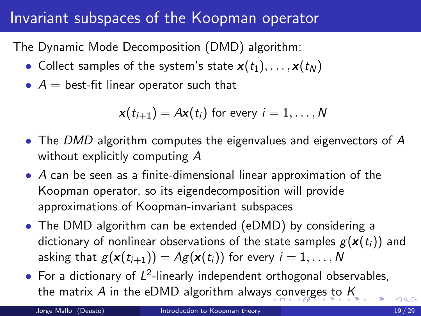## <span id="page-22-0"></span>Invariant subspaces of the Koopman operator

The Dynamic Mode Decomposition (DMD) algorithm:

- Collect samples of the system's state  $\mathbf{x}(t_1), \ldots, \mathbf{x}(t_N)$
- $A =$  best-fit linear operator such that

 $\mathbf{x}(t_{i+1}) = A\mathbf{x}(t_i)$  for every  $i = 1, \ldots, N$ 

- The DMD algorithm computes the eigenvalues and eigenvectors of A without explicitly computing A
- A can be seen as a finite-dimensional linear approximation of the Koopman operator, so its eigendecomposition will provide approximations of Koopman-invariant subspaces
- The DMD algorithm can be extended (eDMD) by considering a dictionary of nonlinear observations of the state samples  $g(\mathbf{x}(t_i))$  and asking that  $g(\mathbf{x}(t_{i+1})) = Ag(\mathbf{x}(t_i))$  for every  $i = 1, ..., N$
- For a dictionary of  $L^2$ -linearly independent orthogonal observables, the matrix A in the eDMD algorithm alway[s c](#page-21-0)[on](#page-23-0)[v](#page-21-0)[erg](#page-22-0)[e](#page-23-0)[s](#page-19-0)[t](#page-23-0)[o](#page-24-0)  $K$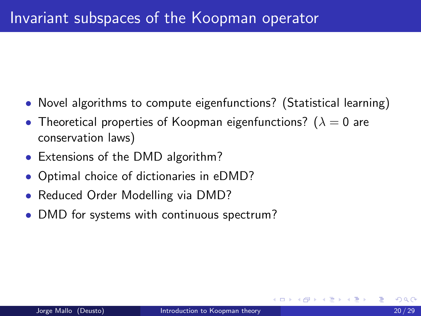- <span id="page-23-0"></span>• Novel algorithms to compute eigenfunctions? (Statistical learning)
- Theoretical properties of Koopman eigenfunctions? ( $\lambda = 0$  are conservation laws)
- Extensions of the DMD algorithm?
- Optimal choice of dictionaries in eDMD?
- Reduced Order Modelling via DMD?
- DMD for systems with continuous spectrum?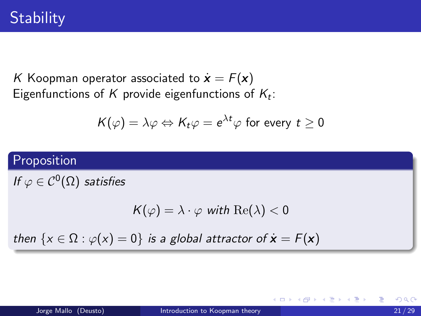<span id="page-24-0"></span>K Koopman operator associated to  $\dot{\mathbf{x}} = F(\mathbf{x})$ Eigenfunctions of  $K$  provide eigenfunctions of  $K_t$ :

$$
\mathcal{K}(\varphi)=\lambda\varphi \Leftrightarrow \mathcal{K}_t\varphi=e^{\lambda t}\varphi \,\,\text{for every}\,\,t\geq 0
$$

## Proposition

If  $\varphi\in\mathcal{C}^0(\Omega)$  satisfies

$$
K(\varphi) = \lambda \cdot \varphi \text{ with } \text{Re}(\lambda) < 0
$$

then  $\{x \in \Omega : \varphi(x) = 0\}$  is a global attractor of  $\dot{x} = F(x)$ 

4 0 F

- ④ → ④ ∃ → ④ ∃ → →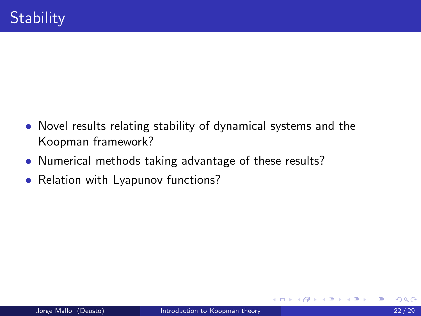- Novel results relating stability of dynamical systems and the Koopman framework?
- Numerical methods taking advantage of these results?
- Relation with Lyapunov functions?

4 D F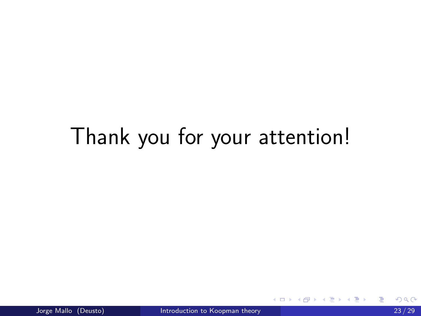# Thank you for your attention!

**K ロ ▶ K 何 ▶** 

э メイラメ ∍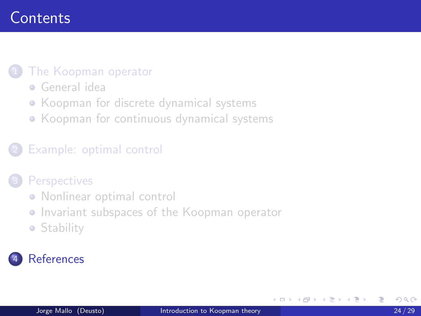## <span id="page-27-0"></span>**Contents**

#### [The Koopman operator](#page-2-0)

- [General idea](#page-3-0)
- [Koopman for discrete dynamical systems](#page-4-0)
- [Koopman for continuous dynamical systems](#page-6-0)

#### [Example: optimal control](#page-10-0)

#### **[Perspectives](#page-16-0)**

- [Nonlinear optimal control](#page-17-0)
- **[Invariant subspaces of the Koopman operator](#page-20-0)**
- **[Stability](#page-24-0)**

## **[References](#page-27-0)**

4 0 8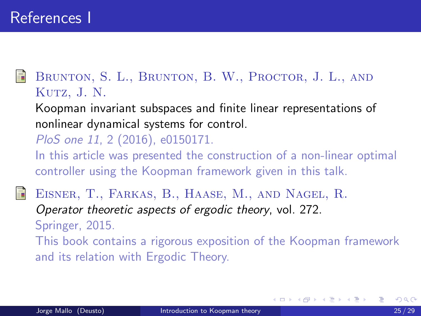<span id="page-28-0"></span>BRUNTON, S. L., BRUNTON, B. W., PROCTOR, J. L., AND Kutz, J. N.

Koopman invariant subspaces and finite linear representations of nonlinear dynamical systems for control.

PloS one 11, 2 (2016), e0150171.

In this article was presented the construction of a non-linear optimal controller using the Koopman framework given in this talk.

Eisner, T., Farkas, B., Haase, M., and Nagel, R. Operator theoretic aspects of ergodic theory, vol. 272. Springer, 2015. This book contains a rigorous exposition of the Koopman framework and its relation with Ergodic Theory.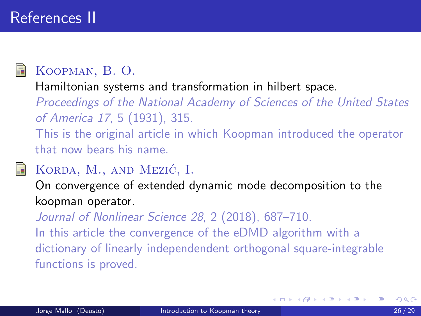## References II



## Koopman, B. O.

Hamiltonian systems and transformation in hilbert space.

Proceedings of the National Academy of Sciences of the United States of America 17, 5 (1931), 315.

This is the original article in which Koopman introduced the operator that now bears his name.

## KORDA, M., AND MEZIĆ, I.

On convergence of extended dynamic mode decomposition to the koopman operator.

Journal of Nonlinear Science 28, 2 (2018), 687-710. In this article the convergence of the eDMD algorithm with a dictionary of linearly independendent orthogonal square-integrable functions is proved.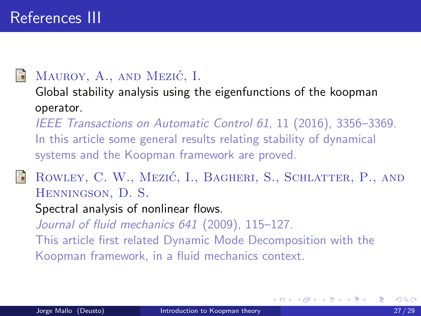## MAUROY, A., AND MEZIĆ, I.

Global stability analysis using the eigenfunctions of the koopman operator.

IEEE Transactions on Automatic Control 61, 11 (2016), 3356–3369. In this article some general results relating stability of dynamical systems and the Koopman framework are proved.

ROWLEY, C. W., MEZIĆ, I., BAGHERI, S., SCHLATTER, P., AND Henningson, D. S.

Spectral analysis of nonlinear flows.

Journal of fluid mechanics 641 (2009), 115–127.

This article first related Dynamic Mode Decomposition with the Koopman framework, in a fluid mechanics context.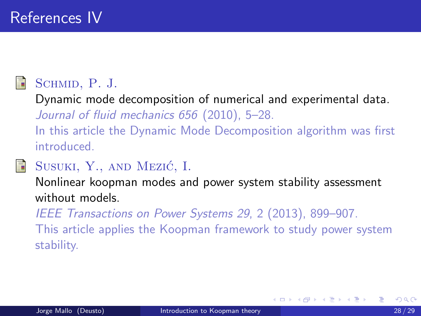

晶

## SCHMID, P. J.

Dynamic mode decomposition of numerical and experimental data. Journal of fluid mechanics 656 (2010), 5–28.

In this article the Dynamic Mode Decomposition algorithm was first introduced.

## SUSUKI, Y., AND MEZIĆ, I.

Nonlinear koopman modes and power system stability assessment without models.

IEEE Transactions on Power Systems 29, 2 (2013), 899–907.

This article applies the Koopman framework to study power system stability.